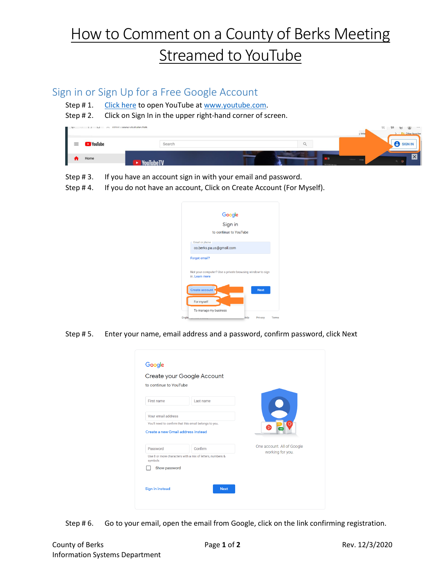## How to Comment on a County of Berks Meeting Streamed to YouTube

## Sign in or Sign Up for a Free Google Account

- Step # 1. [Click here](https://www.youtube.com/) to open YouTube a[t www.youtube.com.](http://www.youtube.com/)
- Step # 2. Click on Sign In in the upper right-hand corner of screen.



- Step # 3. If you have an account sign in with your email and password.
- Step # 4. If you do not have an account, Click on Create Account (For Myself).

| Google                                                                     |      |             |
|----------------------------------------------------------------------------|------|-------------|
| Sign in                                                                    |      |             |
| to continue to YouTube                                                     |      |             |
| <b>Email or phone</b>                                                      |      |             |
| co.berks.pa.us@gmail.com                                                   |      |             |
| <b>Forgot email?</b>                                                       |      |             |
| Not your computer? Use a private browsing window to sign<br>in. Learn more |      |             |
| Create account                                                             |      | <b>Next</b> |
| For myself                                                                 |      |             |
| To manage my business                                                      |      |             |
| <b>Englis</b>                                                              | Help | Privacy     |

Step # 5. Enter your name, email address and a password, confirm password, click Next

| to continue to YouTube             |                                                           |                            |
|------------------------------------|-----------------------------------------------------------|----------------------------|
| First name                         | Last name                                                 |                            |
| Your email address                 |                                                           |                            |
|                                    | You'll need to confirm that this email belongs to you.    | ัอ                         |
| Create a new Gmail address instead |                                                           |                            |
| Password                           | Confirm                                                   | One account. All of Google |
| symbols                            | Use 8 or more characters with a mix of letters, numbers & | working for you.           |
| Show password                      |                                                           |                            |

Step # 6. Go to your email, open the email from Google, click on the link confirming registration.